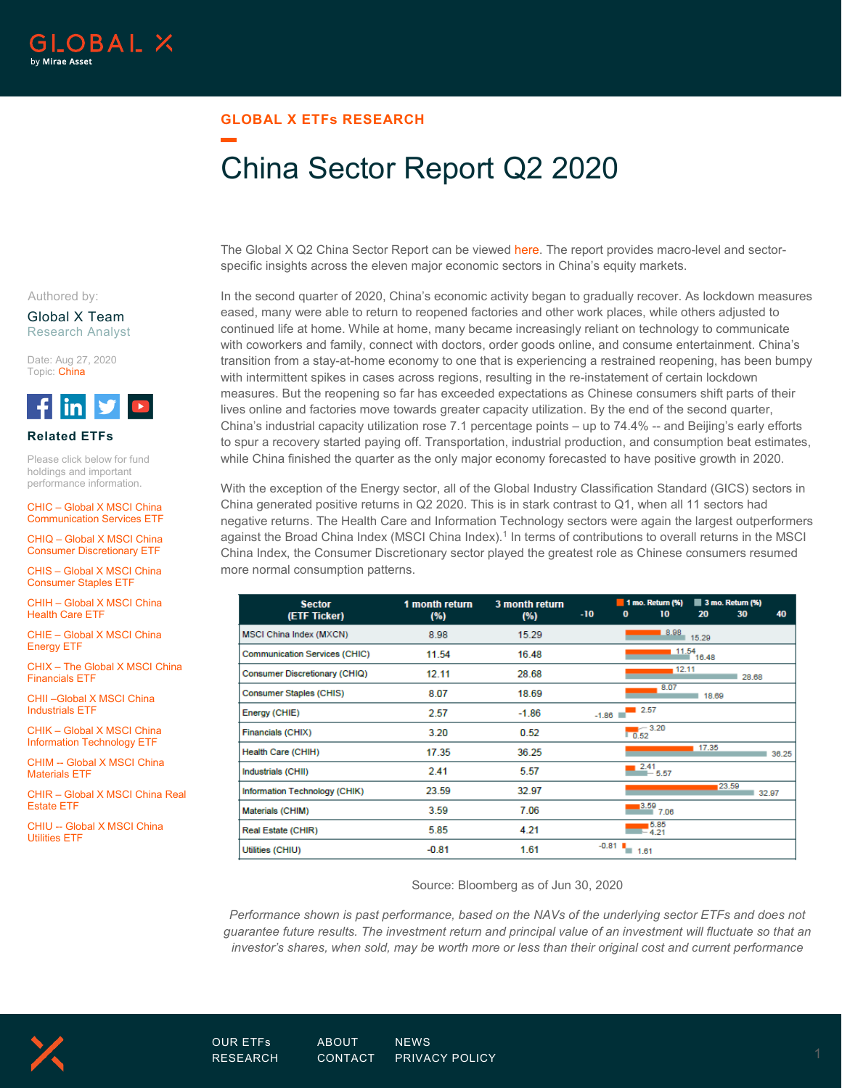## **GLOBAL X ETFs RESEARCH**

# China Sector Report Q2 2020

The Global X Q2 China Sector Report can be viewed [here.](https://www.globalxetfs.com/content/files/Q2-2020-China-Sector-Report.pdf) The report provides macro-level and sectorspecific insights across the eleven major economic sectors in China's equity markets.

In the second quarter of 2020, China's economic activity began to gradually recover. As lockdown measures eased, many were able to return to reopened factories and other work places, while others adjusted to continued life at home. While at home, many became increasingly reliant on technology to communicate with coworkers and family, connect with doctors, order goods online, and consume entertainment. China's transition from a stay-at-home economy to one that is experiencing a restrained reopening, has been bumpy with intermittent spikes in cases across regions, resulting in the re-instatement of certain lockdown measures. But the reopening so far has exceeded expectations as Chinese consumers shift parts of their lives online and factories move towards greater capacity utilization. By the end of the second quarter, China's industrial capacity utilization rose 7.1 percentage points – up to 74.4% -- and Beijing's early efforts to spur a recovery started paying off. Transportation, industrial production, and consumption beat estimates, while China finished the quarter as the only major economy forecasted to have positive growth in 2020.

With the exception of the Energy sector, all of the Global Industry Classification Standard (GICS) sectors in China generated positive returns in Q2 2020. This is in stark contrast to Q1, when all 11 sectors had negative returns. The Health Care and Information Technology sectors were again the largest outperformers against the Broad China Index (MSCI China Index).<sup>1</sup> In terms of contributions to overall returns in the MSCI China Index, the Consumer Discretionary sector played the greatest role as Chinese consumers resumed more normal consumption patterns.

| <b>Sector</b><br>(ETF Ticker)        | 1 month return<br>(%) | 3 month return<br>(%) | $-10$   | $\bf{0}$            | $\blacksquare$ 1 mo. Return (%)<br>10 | 20              | 3 mo. Return (%)<br>30 | 40    |
|--------------------------------------|-----------------------|-----------------------|---------|---------------------|---------------------------------------|-----------------|------------------------|-------|
| MSCI China Index (MXCN)              | 8.98                  | 15.29                 |         |                     | 8.98                                  | 15.29           |                        |       |
| <b>Communication Services (CHIC)</b> | 11.54                 | 16.48                 |         |                     |                                       | $4.11.54$ 16.48 |                        |       |
| <b>Consumer Discretionary (CHIQ)</b> | 12.11                 | 28.68                 |         |                     | 12.11                                 |                 | 28.68                  |       |
| Consumer Staples (CHIS)              | 8.07                  | 18.69                 |         |                     | 8.07                                  | 18.69           |                        |       |
| Energy (CHIE)                        | 2.57                  | $-1.86$               | $-1.86$ | $\blacksquare$ 2.57 |                                       |                 |                        |       |
| Financials (CHIX)                    | 3.20                  | 0.52                  |         | $\overline{0.52}$   | $-3.20$                               |                 |                        |       |
| Health Care (CHIH)                   | 17.35                 | 36.25                 |         |                     |                                       | 17.35           |                        | 36.25 |
| Industrials (CHII)                   | 2.41                  | 5.57                  |         |                     | 2.41<br>$-5.57$                       |                 |                        |       |
| Information Technology (CHIK)        | 23.59                 | 32.97                 |         |                     |                                       |                 | 23.59                  | 32.97 |
| Materials (CHIM)                     | 3.59                  | 7.06                  |         |                     | 3.59<br>7.06                          |                 |                        |       |
| Real Estate (CHIR)                   | 5.85                  | 4.21                  |         |                     | 5.85<br>$=$ 4.21                      |                 |                        |       |
| Utilities (CHIU)                     | $-0.81$               | 1.61                  |         | $-0.81$ $1.61$      |                                       |                 |                        |       |

Source: Bloomberg as of Jun 30, 2020

*Performance shown is past performance, based on the NAVs of the underlying sector ETFs and does not guarantee future results. The investment return and principal value of an investment will fluctuate so that an investor's shares, when sold, may be worth more or less than their original cost and current performance* 



#### Global X Team Research Analyst

Date: Aug 27, 2020 Topic: China



#### **Related ETFs**

Please click below for fund holdings and important performance information.

CHIC – [Global X MSCI China](https://www.globalxetfs.com/funds/chic/)  [Communication Services ETF](https://www.globalxetfs.com/funds/chic/) 

[CHIQ – Global X MSCI China](https://www.globalxetfs.com/funds/chiq/)  [Consumer Discretionary ETF](https://www.globalxetfs.com/funds/chiq/) 

[CHIS – Global X MSCI China](https://www.globalxetfs.com/funds/chis/)  [Consumer Staples ETF](https://www.globalxetfs.com/funds/chis/) 

[CHIH – Global X MSCI China](https://www.globalxetfs.com/funds/chih/)  [Health Care ETF](https://www.globalxetfs.com/funds/chih/) 

[CHIE – Global X MSCI China](https://www.globalxetfs.com/funds/chie/)  [Energy ETF](https://www.globalxetfs.com/funds/chie/) 

[CHIX – The Global X MSCI China](https://www.globalxetfs.com/funds/chix/)  [Financials ETF](https://www.globalxetfs.com/funds/chix/) 

[CHII –Global X MSCI China](https://www.globalxetfs.com/funds/chii/)  [Industrials ETF](https://www.globalxetfs.com/funds/chii/) 

[CHIK – Global X MSCI China](https://www.globalxetfs.com/funds/chik/)  [Information Technology ETF](https://www.globalxetfs.com/funds/chik/) 

[CHIM -- Global X MSCI China](https://www.globalxetfs.com/funds/chim/)  [Materials ETF](https://www.globalxetfs.com/funds/chim/) 

[CHIR – Global X MSCI China Real](https://www.globalxetfs.com/funds/chir/)  [Estate ETF](https://www.globalxetfs.com/funds/chir/) 

[CHIU -- Global X MSCI China](https://www.globalxetfs.com/funds/chiu/)  [Utilities ETF](https://www.globalxetfs.com/funds/chiu/) 

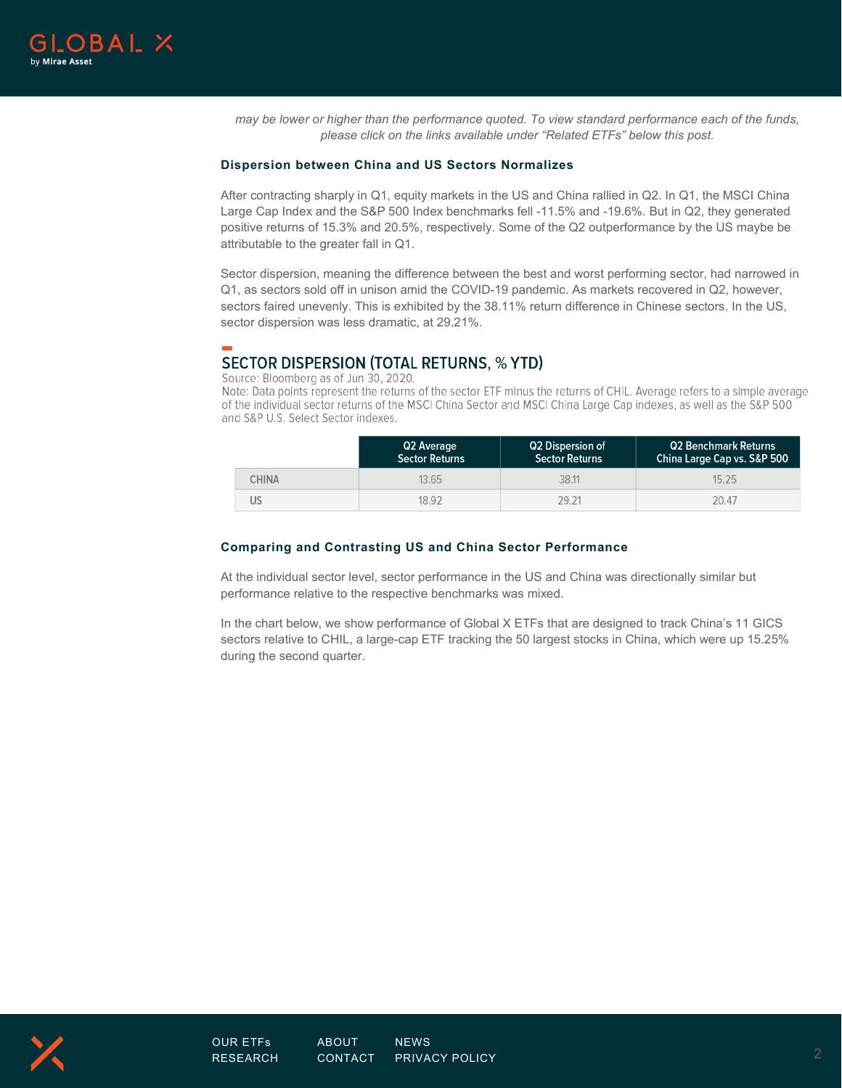

*may be lower or higher than the performance quoted. To view standard performance each of the funds, please click on the links available under "Related ETFs" below this post.*

#### **Dispersion between China and US Sectors Normalizes**

After contracting sharply in Q1, equity markets in the US and China rallied in Q2. In Q1, the MSCI China Large Cap Index and the S&P 500 Index benchmarks fell -11.5% and -19.6%. But in Q2, they generated positive returns of 15.3% and 20.5%, respectively. Some of the Q2 outperformance by the US maybe be attributable to the greater fall in Q1.

Sector dispersion, meaning the difference between the best and worst performing sector, had narrowed in Q1, as sectors sold off in unison amid the COVID-19 pandemic. As markets recovered in Q2, however, sectors faired unevenly. This is exhibited by the 38.11% return difference in Chinese sectors. In the US, sector dispersion was less dramatic, at 29.21%.

#### **SECTOR DISPERSION (TOTAL RETURNS, % YTD)** Source: Bloomberg as of Jun 30, 2020.

Note: Data points represent the returns of the sector ETF minus the returns of CHIL. Average refers to a simple average of the individual sector returns of the MSCI China Sector and MSCI China Large Cap indexes, as well as the S&P 500 and S&P U.S. Select Sector indexes.

|              | Q2 Average<br><b>Sector Returns</b> | Q2 Dispersion of<br><b>Sector Returns</b> | <b>Q2 Benchmark Returns</b><br>China Large Cap vs. S&P 500 |
|--------------|-------------------------------------|-------------------------------------------|------------------------------------------------------------|
| <b>CHINA</b> | 13.65                               | 38.11                                     | 15.25                                                      |
|              | 18.92                               | 29.21                                     | 20.47                                                      |

#### **Comparing and Contrasting US and China Sector Performance**

At the individual sector level, sector performance in the US and China was directionally similar but performance relative to the respective benchmarks was mixed.

In the chart below, we show performance of Global X ETFs that are designed to track China's 11 GICS sectors relative to CHIL, a large-cap ETF tracking the 50 largest stocks in China, which were up 15.25% during the second quarter.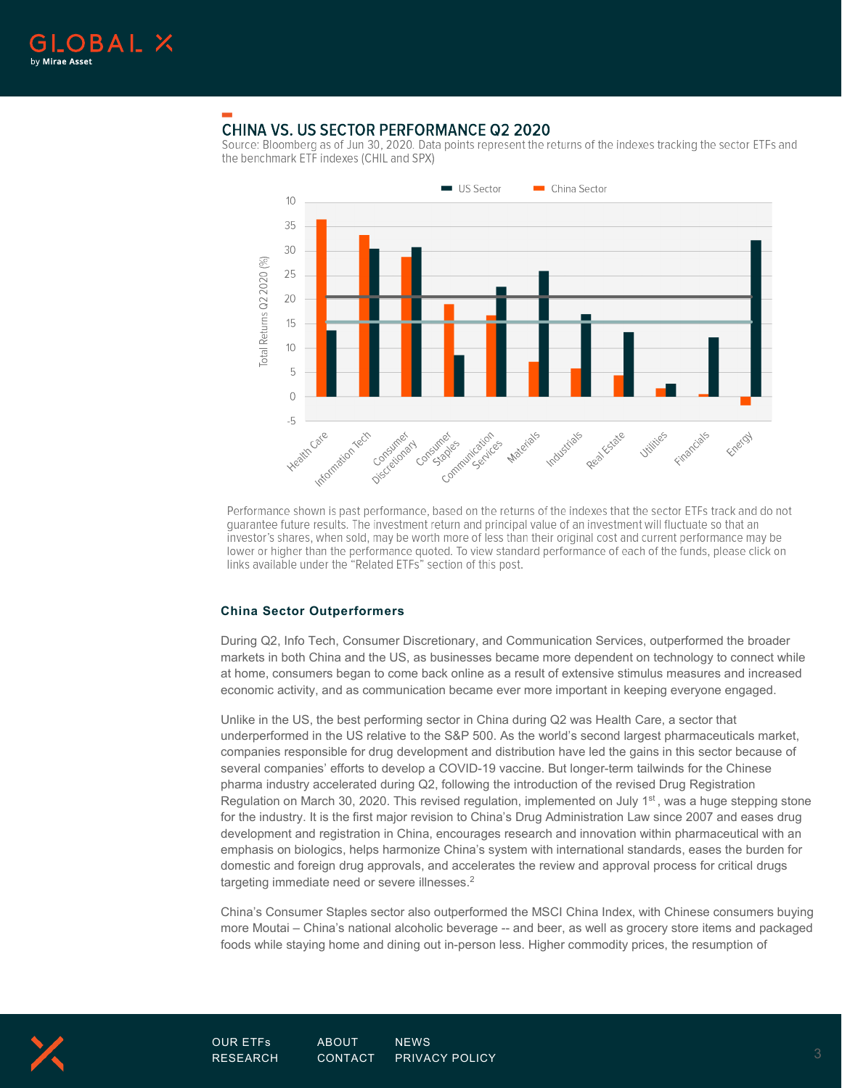

# **CHINA VS. US SECTOR PERFORMANCE Q2 2020**

Source: Bloomberg as of Jun 30, 2020. Data points represent the returns of the indexes tracking the sector ETFs and the benchmark ETF indexes (CHIL and SPX)



Performance shown is past performance, based on the returns of the indexes that the sector ETFs track and do not quarantee future results. The investment return and principal value of an investment will fluctuate so that an investor's shares, when sold, may be worth more of less than their original cost and current performance may be lower or higher than the performance quoted. To view standard performance of each of the funds, please click on links available under the "Related ETFs" section of this post.

### **China Sector Outperformers**

During Q2, Info Tech, Consumer Discretionary, and Communication Services, outperformed the broader markets in both China and the US, as businesses became more dependent on technology to connect while at home, consumers began to come back online as a result of extensive stimulus measures and increased economic activity, and as communication became ever more important in keeping everyone engaged.

Unlike in the US, the best performing sector in China during Q2 was Health Care, a sector that underperformed in the US relative to the S&P 500. As the world's second largest pharmaceuticals market, companies responsible for drug development and distribution have led the gains in this sector because of several companies' efforts to develop a COVID-19 vaccine. But longer-term tailwinds for the Chinese pharma industry accelerated during Q2, following the introduction of the revised Drug Registration Regulation on March 30, 2020. This revised regulation, implemented on July  $1<sup>st</sup>$ , was a huge stepping stone for the industry. It is the first major revision to China's Drug Administration Law since 2007 and eases drug development and registration in China, encourages research and innovation within pharmaceutical with an emphasis on biologics, helps harmonize China's system with international standards, eases the burden for domestic and foreign drug approvals, and accelerates the review and approval process for critical drugs targeting immediate need or severe illnesses.<sup>2</sup>

China's Consumer Staples sector also outperformed the MSCI China Index, with Chinese consumers buying more Moutai – China's national alcoholic beverage -- and beer, as well as grocery store items and packaged foods while staying home and dining out in-person less. Higher commodity prices, the resumption of